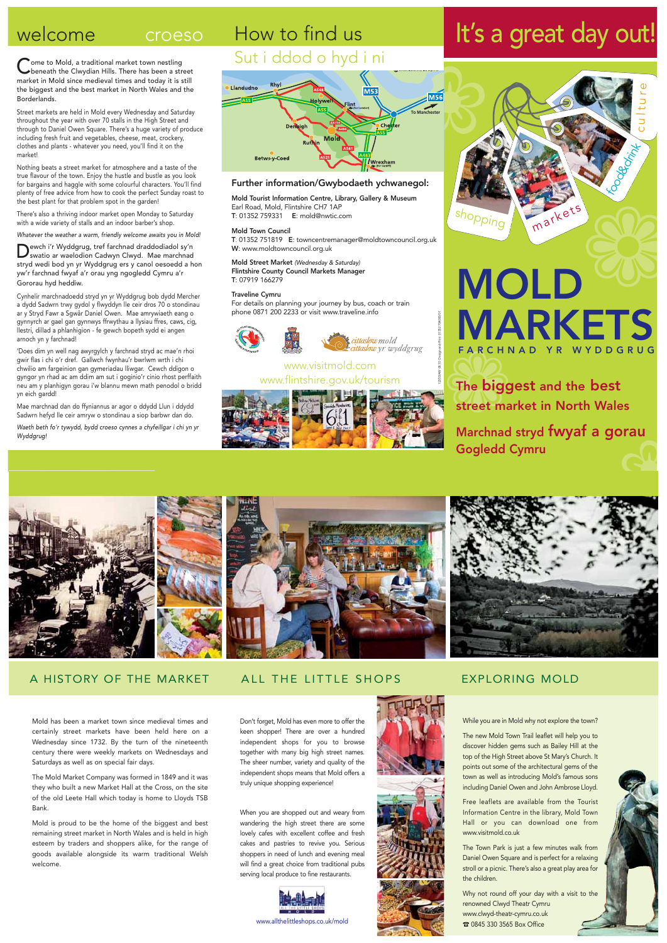### How to find us Sut i ddod o hyd i ni

# **Llandudno** To Manchester **Betws-y-Coed**

### Further information/Gwybodaeth ychwanegol:

Mold Tourist Information Centre, Library, Gallery & Museum Earl Road, Mold, Flintshire CH7 1AP T: 01352 759331 E: mold@nwtic.com

Mold Town Council

T: 01352 751819 E: towncentremanager@moldtowncouncil.org.uk W: www.moldtowncouncil.org.uk

Mold Street Market (Wednesday & Saturday) Flintshire County Council Markets Manager T: 07919 166279

### welcome croeso

Come to Mold, a traditional market town nestling<br>beneath the Clwydian Hills. There has been a street market in Mold since medieval times and today it is still the biggest and the best market in North Wales and the Borderlands.

### Traveline Cymru

For details on planning your journey by bus, coach or train phone 0871 200 2233 or visit www.traveline.info





### www.visitmold.com www.flintshire.gov.uk/tourism



## MOLD MARKETS FARCHNAD YR WYDDGR

Street markets are held in Mold every Wednesday and Saturday throughout the year with over 70 stalls in the High Street and through to Daniel Owen Square. There's a huge variety of produce including fresh fruit and vegetables, cheese, meat, crockery, clothes and plants - whatever you need, you'll find it on the market!

Nothing beats a street market for atmosphere and a taste of the true flavour of the town. Enjoy the hustle and bustle as you look for bargains and haggle with some colourful characters. You'll find plenty of free advice from how to cook the perfect Sunday roast to the best plant for that problem spot in the garden!

There's also a thriving indoor market open Monday to Saturday with a wide variety of stalls and an indoor barber's shop.

Whatever the weather a warm, friendly welcome awaits you in Mold!

The biggest and the best street market in North Wales



Marchnad stryd fwyaf a gorau Gogledd Cymru



## It's a great day out!

Dewch i'r Wyddgrug, tref farchnad draddodiadol sy'n swatio ar waelodion Cadwyn Clwyd. Mae marchnad stryd wedi bod yn yr Wyddgrug ers y canol oesoedd a hon yw'r farchnad fwyaf a'r orau yng ngogledd Cymru a'r Gororau hyd heddiw.

Cynhelir marchnadoedd stryd yn yr Wyddgrug bob dydd Mercher a dydd Sadwrn trwy gydol y flwyddyn lle ceir dros 70 o stondinau ar y Stryd Fawr a Sgwâr Daniel Owen. Mae amrywiaeth eang o gynnyrch ar gael gan gynnwys ffrwythau a llysiau ffres, caws, cig, llestri, dillad a phlanhigion - fe gewch bopeth sydd ei angen arnoch yn y farchnad!

'Does dim yn well nag awyrgylch y farchnad stryd ac mae'n rhoi gwir flas i chi o'r dref. Gallwch fwynhau'r bwrlwm wrth i chi chwilio am fargeinion gan gymeriadau lliwgar. Cewch ddigon o gyngor yn rhad ac am ddim am sut i goginio'r cinio rhost perffaith neu am y planhigyn gorau i'w blannu mewn math penodol o bridd yn eich gardd!

Mae marchnad dan do ffyniannus ar agor o ddydd Llun i ddydd Sadwrn hefyd lle ceir amryw o stondinau a siop barbwr dan do.

Waeth beth fo'r tywydd, bydd croeso cynnes a chyfeillgar i chi yn yr Wyddgrug!

12350/AW 08.10 Design-and-Print 01352 704000/01

Mold has been a market town since medieval times and certainly street markets have been held here on a Wednesday since 1732. By the turn of the nineteenth century there were weekly markets on Wednesdays and Saturdays as well as on special fair days.

The Mold Market Company was formed in 1849 and it was they who built a new Market Hall at the Cross, on the site of the old Leete Hall which today is home to Lloyds TSB Bank.

Mold is proud to be the home of the biggest and best remaining street market in North Wales and is held in high esteem by traders and shoppers alike, for the range of goods available alongside its warm traditional Welsh welcome.

A HISTORY OF THE MARKET ALL THE LITTLE SHOPS

Don't forget, Mold has even more to offer the keen shopper! There are over a hundred independent shops for you to browse together with many big high street names. The sheer number, variety and quality of the independent shops means that Mold offers a truly unique shopping experience!

When you are shopped out and weary from wandering the high street there are some lovely cafes with excellent coffee and fresh cakes and pastries to revive you. Serious shoppers in need of lunch and evening meal will find a great choice from traditional pubs serving local produce to fine restaurants.



While you are in Mold why not explore the town?

The new Mold Town Trail leaflet will help you to discover hidden gems such as Bailey Hill at the top of the High Street above St Mary's Church. It points out some of the architectural gems of the town as well as introducing Mold's famous sons including Daniel Owen and John Ambrose Lloyd.

Free leaflets are available from the Tourist Information Centre in the library, Mold Town Hall or you can download one from www.visitmold.co.uk

The Town Park is just a few minutes walk from Daniel Owen Square and is perfect for a relaxing stroll or a picnic. There's also a great play area for the children.

Why not round off your day with a visit to the renowned Clwyd Theatr Cymru www.clwyd-theatr-cymru.co.uk ☎ 0845 330 3565 Box Office

### EXPLORING MOLD



www.allthelittleshops.co.uk/mold